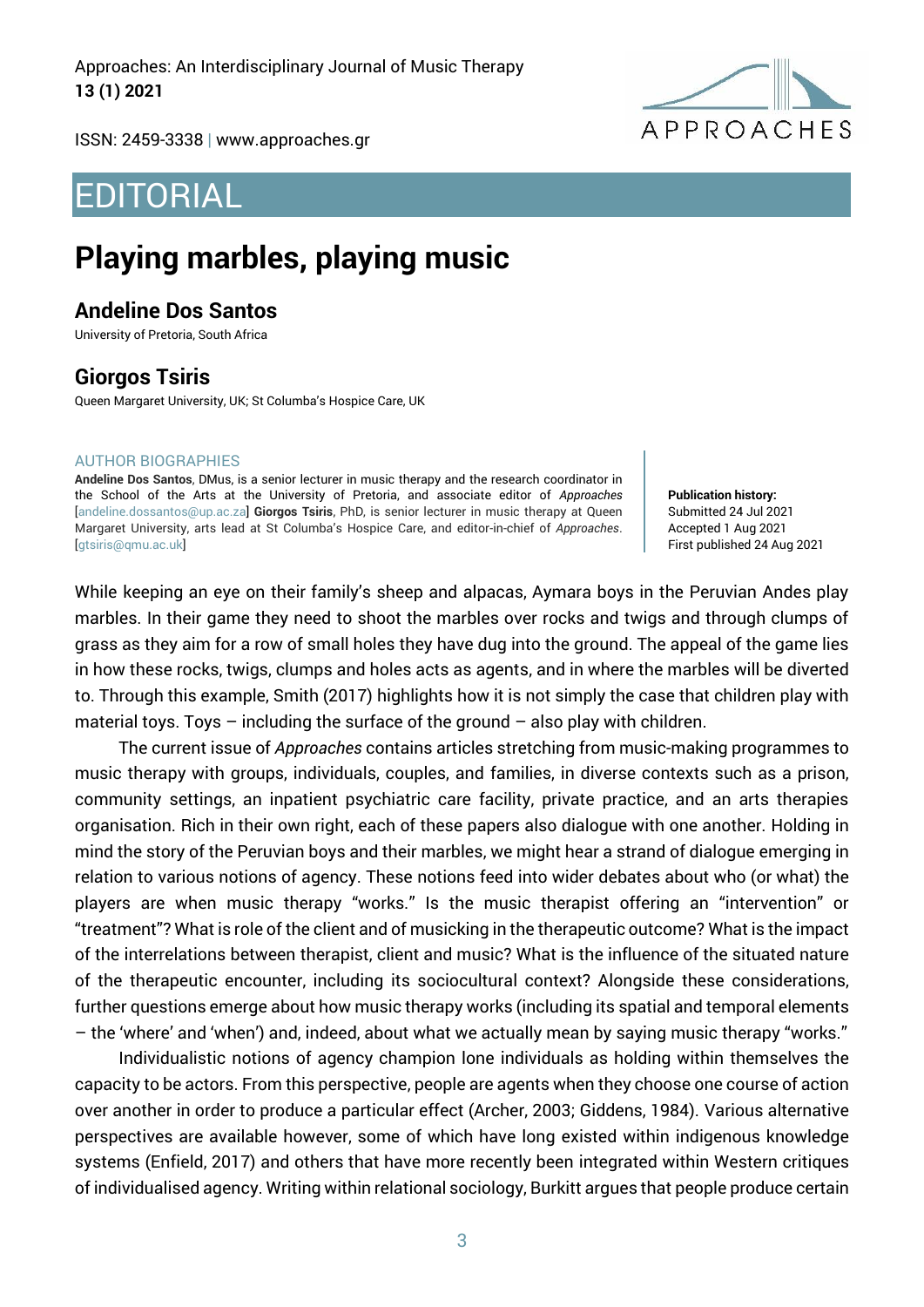Approaches: An Interdisciplinary Journal of Music Therapy **13 (1) 2021**



ISSN: 2459-3338 | [www.approaches.gr](http://approaches.gr/)

# EDITORIAL

# **Playing marbles, playing music**

### **Andeline Dos Santos**

University of Pretoria, South Africa

## **Giorgos Tsiris**

Queen Margaret University, UK; St Columba's Hospice Care, UK

#### AUTHOR BIOGRAPHIES

**Andeline Dos Santos**, DMus, is a senior lecturer in music therapy and the research coordinator in the School of the Arts at the University of Pretoria, and associate editor of *Approaches* [\[andeline.dossantos@up.ac.za\]](mailto:elizabeth.coombes@southwales.ac.uk) **Giorgos Tsiris**, PhD, is senior lecturer in music therapy at Queen Margaret University, arts lead at St Columba's Hospice Care, and editor-in-chief of *Approaches*. [gtsiris@qmu.ac.uk]

**Publication history:**  Submitted 24 Jul 2021 Accepted 1 Aug 2021 First published 24 Aug 2021

While keeping an eye on their family's sheep and alpacas, Aymara boys in the Peruvian Andes play marbles. In their game they need to shoot the marbles over rocks and twigs and through clumps of grass as they aim for a row of small holes they have dug into the ground. The appeal of the game lies in how these rocks, twigs, clumps and holes acts as agents, and in where the marbles will be diverted to. Through this example, Smith (2017) highlights how it is not simply the case that children play with material toys. Toys  $-$  including the surface of the ground  $-$  also play with children.

The current issue of *Approaches* contains articles stretching from music-making programmes to music therapy with groups, individuals, couples, and families, in diverse contexts such as a prison, community settings, an inpatient psychiatric care facility, private practice, and an arts therapies organisation. Rich in their own right, each of these papers also dialogue with one another. Holding in mind the story of the Peruvian boys and their marbles, we might hear a strand of dialogue emerging in relation to various notions of agency. These notions feed into wider debates about who (or what) the players are when music therapy "works." Is the music therapist offering an "intervention" or "treatment"? What is role of the client and of musicking in the therapeutic outcome? What is the impact of the interrelations between therapist, client and music? What is the influence of the situated nature of the therapeutic encounter, including its sociocultural context? Alongside these considerations, further questions emerge about how music therapy works (including its spatial and temporal elements – the 'where' and 'when') and, indeed, about what we actually mean by saying music therapy "works."

Individualistic notions of agency champion lone individuals as holding within themselves the capacity to be actors. From this perspective, people are agents when they choose one course of action over another in order to produce a particular effect (Archer, 2003; Giddens, 1984). Various alternative perspectives are available however, some of which have long existed within indigenous knowledge systems (Enfield, 2017) and others that have more recently been integrated within Western critiques of individualised agency. Writing within relational sociology, Burkitt argues that people produce certain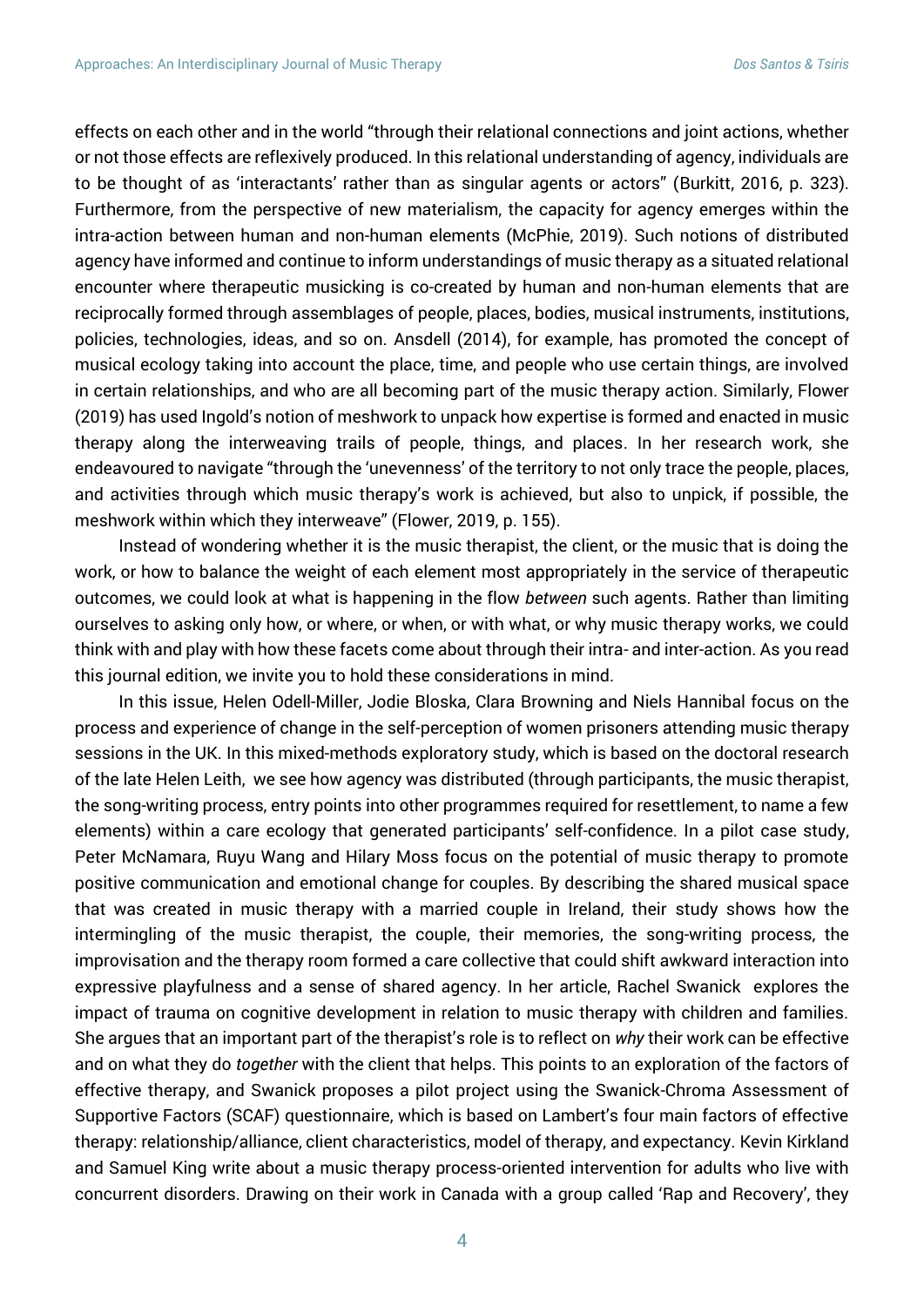effects on each other and in the world "through their relational connections and joint actions, whether or not those effects are reflexively produced. In this relational understanding of agency, individuals are to be thought of as 'interactants' rather than as singular agents or actors" (Burkitt, 2016, p. 323). Furthermore, from the perspective of new materialism, the capacity for agency emerges within the intra-action between human and non-human elements (McPhie, 2019). Such notions of distributed agency have informed and continue to inform understandings of music therapy as a situated relational encounter where therapeutic musicking is co-created by human and non-human elements that are reciprocally formed through assemblages of people, places, bodies, musical instruments, institutions, policies, technologies, ideas, and so on. Ansdell (2014), for example, has promoted the concept of musical ecology taking into account the place, time, and people who use certain things, are involved in certain relationships, and who are all becoming part of the music therapy action. Similarly, Flower (2019) has used Ingold's notion of meshwork to unpack how expertise is formed and enacted in music therapy along the interweaving trails of people, things, and places. In her research work, she endeavoured to navigate "through the 'unevenness' of the territory to not only trace the people, places, and activities through which music therapy's work is achieved, but also to unpick, if possible, the meshwork within which they interweave" (Flower, 2019, p. 155).

Instead of wondering whether it is the music therapist, the client, or the music that is doing the work, or how to balance the weight of each element most appropriately in the service of therapeutic outcomes, we could look at what is happening in the flow *between* such agents. Rather than limiting ourselves to asking only how, or where, or when, or with what, or why music therapy works, we could think with and play with how these facets come about through their intra- and inter-action. As you read this journal edition, we invite you to hold these considerations in mind.

In this issue, Helen Odell-Miller, Jodie Bloska, Clara Browning and Niels Hannibal focus on the process and experience of change in the self-perception of women prisoners attending music therapy sessions in the UK. In this mixed-methods exploratory study, which is based on the doctoral research of the late Helen Leith, we see how agency was distributed (through participants, the music therapist, the song-writing process, entry points into other programmes required for resettlement, to name a few elements) within a care ecology that generated participants' self-confidence. In a pilot case study, Peter McNamara, Ruyu Wang and Hilary Moss focus on the potential of music therapy to promote positive communication and emotional change for couples. By describing the shared musical space that was created in music therapy with a married couple in Ireland, their study shows how the intermingling of the music therapist, the couple, their memories, the song-writing process, the improvisation and the therapy room formed a care collective that could shift awkward interaction into expressive playfulness and a sense of shared agency. In her article, Rachel Swanick explores the impact of trauma on cognitive development in relation to music therapy with children and families. She argues that an important part of the therapist's role is to reflect on *why* their work can be effective and on what they do *together* with the client that helps. This points to an exploration of the factors of effective therapy, and Swanick proposes a pilot project using the Swanick-Chroma Assessment of Supportive Factors (SCAF) questionnaire, which is based on Lambert's four main factors of effective therapy: relationship/alliance, client characteristics, model of therapy, and expectancy. Kevin Kirkland and Samuel King write about a music therapy process-oriented intervention for adults who live with concurrent disorders. Drawing on their work in Canada with a group called 'Rap and Recovery', they